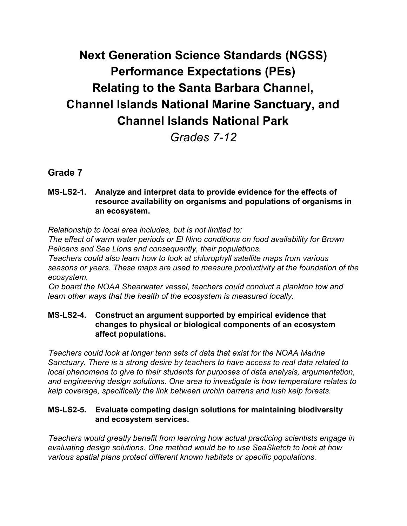# **Next Generation Science Standards (NGSS) Performance Expectations (PEs) Relating to the Santa Barbara Channel, Channel Islands National Marine Sanctuary, and Channel Islands National Park**

*Grades 7-12*

# **Grade 7**

# **MS-LS2-1. Analyze and interpret data to provide evidence for the effects of resource availability on organisms and populations of organisms in an ecosystem.**

*Relationship to local area includes, but is not limited to:*

*The effect of warm water periods or El Nino conditions on food availability for Brown Pelicans and Sea Lions and consequently, their populations.*

*Teachers could also learn how to look at chlorophyll satellite maps from various seasons or years. These maps are used to measure productivity at the foundation of the ecosystem.*

*On board the NOAA Shearwater vessel, teachers could conduct a plankton tow and learn other ways that the health of the ecosystem is measured locally.*

## **MS-LS2-4. Construct an argument supported by empirical evidence that changes to physical or biological components of an ecosystem affect populations.**

*Teachers could look at longer term sets of data that exist for the NOAA Marine Sanctuary. There is a strong desire by teachers to have access to real data related to local phenomena to give to their students for purposes of data analysis, argumentation, and engineering design solutions. One area to investigate is how temperature relates to kelp coverage, specifically the link between urchin barrens and lush kelp forests.*

# **MS-LS2-5. Evaluate competing design solutions for maintaining biodiversity and ecosystem services.**

*Teachers would greatly benefit from learning how actual practicing scientists engage in evaluating design solutions. One method would be to use SeaSketch to look at how various spatial plans protect different known habitats or specific populations.*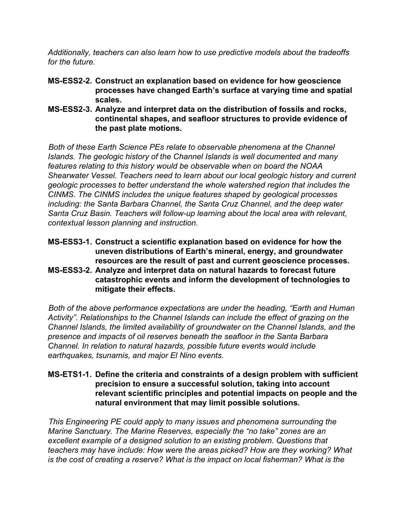*Additionally, teachers can also learn how to use predictive models about the tradeoffs for the future.*

- **MS-ESS2-2. Construct an explanation based on evidence for how geoscience processes have changed Earth's surface at varying time and spatial scales.**
- **MS-ESS2-3. Analyze and interpret data on the distribution of fossils and rocks, continental shapes, and seafloor structures to provide evidence of the past plate motions.**

*Both of these Earth Science PEs relate to observable phenomena at the Channel Islands. The geologic history of the Channel Islands is well documented and many features relating to this history would be observable when on board the NOAA Shearwater Vessel. Teachers need to learn about our local geologic history and current geologic processes to better understand the whole watershed region that includes the CINMS. The CINMS includes the unique features shaped by geological processes including: the Santa Barbara Channel, the Santa Cruz Channel, and the deep water Santa Cruz Basin. Teachers will follow-up learning about the local area with relevant, contextual lesson planning and instruction.*

- **MS-ESS3-1. Construct a scientific explanation based on evidence for how the uneven distributions of Earth's mineral, energy, and groundwater resources are the result of past and current geoscience processes.**
- **MS-ESS3-2. Analyze and interpret data on natural hazards to forecast future catastrophic events and inform the development of technologies to mitigate their effects.**

*Both of the above performance expectations are under the heading, "Earth and Human Activity". Relationships to the Channel Islands can include the effect of grazing on the Channel Islands, the limited availability of groundwater on the Channel Islands, and the presence and impacts of oil reserves beneath the seafloor in the Santa Barbara Channel. In relation to natural hazards, possible future events would include earthquakes, tsunamis, and major El Nino events.*

# **MS-ETS1-1. Define the criteria and constraints of a design problem with sufficient precision to ensure a successful solution, taking into account relevant scientific principles and potential impacts on people and the natural environment that may limit possible solutions.**

*This Engineering PE could apply to many issues and phenomena surrounding the Marine Sanctuary. The Marine Reserves, especially the "no take" zones are an excellent example of a designed solution to an existing problem. Questions that teachers may have include: How were the areas picked? How are they working? What is the cost of creating a reserve? What is the impact on local fisherman? What is the*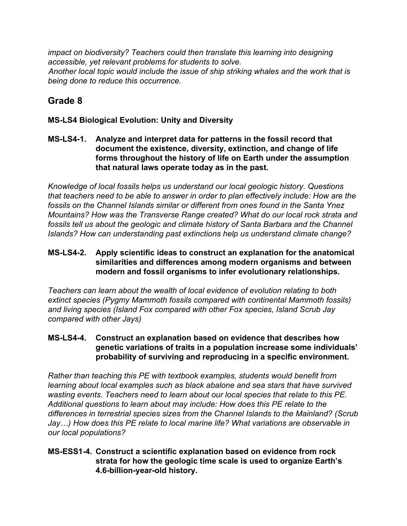*impact on biodiversity? Teachers could then translate this learning into designing accessible, yet relevant problems for students to solve. Another local topic would include the issue of ship striking whales and the work that is being done to reduce this occurrence.*

# **Grade 8**

# **MS-LS4 Biological Evolution: Unity and Diversity**

# **MS-LS4-1. Analyze and interpret data for patterns in the fossil record that document the existence, diversity, extinction, and change of life forms throughout the history of life on Earth under the assumption that natural laws operate today as in the past.**

*Knowledge of local fossils helps us understand our local geologic history. Questions that teachers need to be able to answer in order to plan effectively include: How are the fossils on the Channel Islands similar or different from ones found in the Santa Ynez Mountains? How was the Transverse Range created? What do our local rock strata and fossils tell us about the geologic and climate history of Santa Barbara and the Channel Islands? How can understanding past extinctions help us understand climate change?*

## **MS-LS4-2. Apply scientific ideas to construct an explanation for the anatomical similarities and differences among modern organisms and between modern and fossil organisms to infer evolutionary relationships.**

*Teachers can learn about the wealth of local evidence of evolution relating to both extinct species (Pygmy Mammoth fossils compared with continental Mammoth fossils) and living species (Island Fox compared with other Fox species, Island Scrub Jay compared with other Jays)*

# **MS-LS4-4. Construct an explanation based on evidence that describes how genetic variations of traits in a population increase some individuals' probability of surviving and reproducing in a specific environment.**

*Rather than teaching this PE with textbook examples, students would benefit from learning about local examples such as black abalone and sea stars that have survived wasting events. Teachers need to learn about our local species that relate to this PE. Additional questions to learn about may include: How does this PE relate to the differences in terrestrial species sizes from the Channel Islands to the Mainland? (Scrub Jay…) How does this PE relate to local marine life? What variations are observable in our local populations?*

## **MS-ESS1-4. Construct a scientific explanation based on evidence from rock strata for how the geologic time scale is used to organize Earth's 4.6-billion-year-old history.**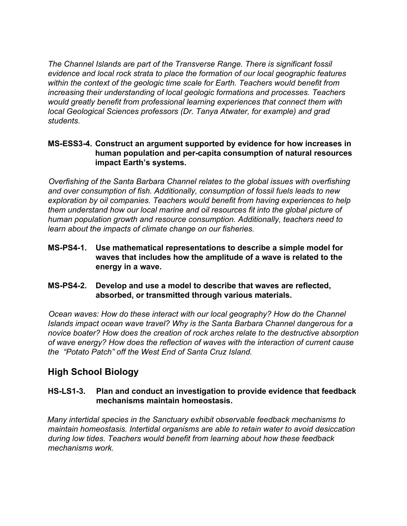*The Channel Islands are part of the Transverse Range. There is significant fossil evidence and local rock strata to place the formation of our local geographic features within the context of the geologic time scale for Earth. Teachers would benefit from increasing their understanding of local geologic formations and processes. Teachers would greatly benefit from professional learning experiences that connect them with local Geological Sciences professors (Dr. Tanya Atwater, for example) and grad students.*

## **MS-ESS3-4. Construct an argument supported by evidence for how increases in human population and per-capita consumption of natural resources impact Earth's systems.**

*Overfishing of the Santa Barbara Channel relates to the global issues with overfishing and over consumption of fish. Additionally, consumption of fossil fuels leads to new exploration by oil companies. Teachers would benefit from having experiences to help them understand how our local marine and oil resources fit into the global picture of human population growth and resource consumption. Additionally, teachers need to learn about the impacts of climate change on our fisheries.*

- **MS-PS4-1. Use mathematical representations to describe a simple model for waves that includes how the amplitude of a wave is related to the energy in a wave.**
- **MS-PS4-2. Develop and use a model to describe that waves are reflected, absorbed, or transmitted through various materials.**

*Ocean waves: How do these interact with our local geography? How do the Channel Islands impact ocean wave travel? Why is the Santa Barbara Channel dangerous for a novice boater? How does the creation of rock arches relate to the destructive absorption of wave energy? How does the reflection of waves with the interaction of current cause the "Potato Patch" off the West End of Santa Cruz Island.*

# **High School Biology**

# **HS-LS1-3. Plan and conduct an investigation to provide evidence that feedback mechanisms maintain homeostasis.**

*Many intertidal species in the Sanctuary exhibit observable feedback mechanisms to maintain homeostasis. Intertidal organisms are able to retain water to avoid desiccation during low tides. Teachers would benefit from learning about how these feedback mechanisms work.*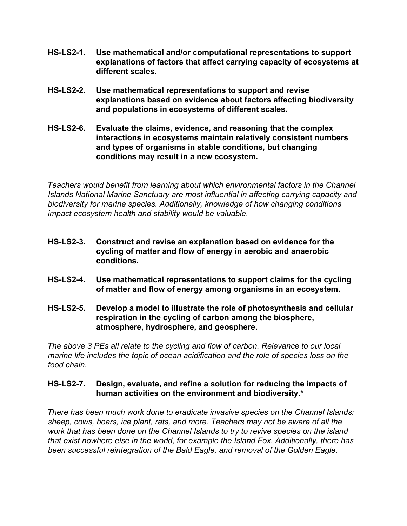- **HS-LS2-1. Use mathematical and/or computational representations to support explanations of factors that affect carrying capacity of ecosystems at different scales.**
- **HS-LS2-2. Use mathematical representations to support and revise explanations based on evidence about factors affecting biodiversity and populations in ecosystems of different scales.**
- **HS-LS2-6. Evaluate the claims, evidence, and reasoning that the complex interactions in ecosystems maintain relatively consistent numbers and types of organisms in stable conditions, but changing conditions may result in a new ecosystem.**

*Teachers would benefit from learning about which environmental factors in the Channel Islands National Marine Sanctuary are most influential in affecting carrying capacity and biodiversity for marine species. Additionally, knowledge of how changing conditions impact ecosystem health and stability would be valuable.*

- **HS-LS2-3. Construct and revise an explanation based on evidence for the cycling of matter and flow of energy in aerobic and anaerobic conditions.**
- **HS-LS2-4. Use mathematical representations to support claims for the cycling of matter and flow of energy among organisms in an ecosystem.**
- **HS-LS2-5. Develop a model to illustrate the role of photosynthesis and cellular respiration in the cycling of carbon among the biosphere, atmosphere, hydrosphere, and geosphere.**

*The above 3 PEs all relate to the cycling and flow of carbon. Relevance to our local marine life includes the topic of ocean acidification and the role of species loss on the food chain.*

# **HS-LS2-7. Design, evaluate, and refine a solution for reducing the impacts of human activities on the environment and biodiversity.\***

*There has been much work done to eradicate invasive species on the Channel Islands: sheep, cows, boars, ice plant, rats, and more. Teachers may not be aware of all the work that has been done on the Channel Islands to try to revive species on the island that exist nowhere else in the world, for example the Island Fox. Additionally, there has been successful reintegration of the Bald Eagle, and removal of the Golden Eagle.*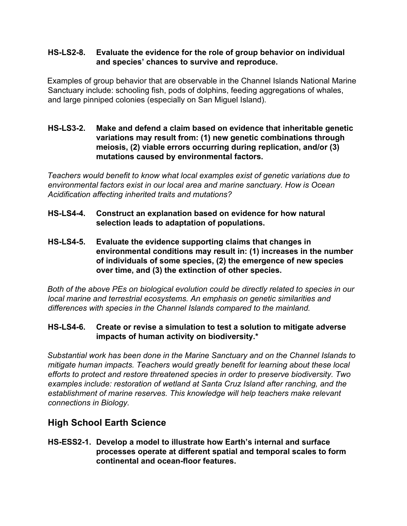#### **HS-LS2-8. Evaluate the evidence for the role of group behavior on individual and species' chances to survive and reproduce.**

Examples of group behavior that are observable in the Channel Islands National Marine Sanctuary include: schooling fish, pods of dolphins, feeding aggregations of whales, and large pinniped colonies (especially on San Miguel Island).

## **HS-LS3-2. Make and defend a claim based on evidence that inheritable genetic variations may result from: (1) new genetic combinations through meiosis, (2) viable errors occurring during replication, and/or (3) mutations caused by environmental factors.**

*Teachers would benefit to know what local examples exist of genetic variations due to environmental factors exist in our local area and marine sanctuary. How is Ocean Acidification affecting inherited traits and mutations?*

- **HS-LS4-4. Construct an explanation based on evidence for how natural selection leads to adaptation of populations.**
- **HS-LS4-5. Evaluate the evidence supporting claims that changes in environmental conditions may result in: (1) increases in the number of individuals of some species, (2) the emergence of new species over time, and (3) the extinction of other species.**

*Both of the above PEs on biological evolution could be directly related to species in our local marine and terrestrial ecosystems. An emphasis on genetic similarities and differences with species in the Channel Islands compared to the mainland.*

# **HS-LS4-6. Create or revise a simulation to test a solution to mitigate adverse impacts of human activity on biodiversity.\***

*Substantial work has been done in the Marine Sanctuary and on the Channel Islands to mitigate human impacts. Teachers would greatly benefit for learning about these local efforts to protect and restore threatened species in order to preserve biodiversity. Two examples include: restoration of wetland at Santa Cruz Island after ranching, and the establishment of marine reserves. This knowledge will help teachers make relevant connections in Biology.*

# **High School Earth Science**

**HS-ESS2-1. Develop a model to illustrate how Earth's internal and surface processes operate at different spatial and temporal scales to form continental and ocean-floor features.**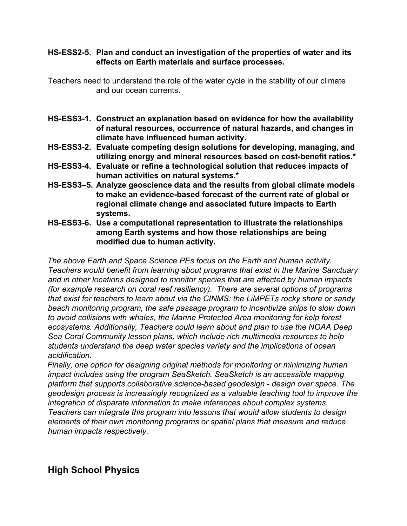#### **HS-ESS2-5. Plan and conduct an investigation of the properties of water and its effects on Earth materials and surface processes.**

Teachers need to understand the role of the water cycle in the stability of our climate and our ocean currents.

- **HS-ESS3-1. Construct an explanation based on evidence for how the availability of natural resources, occurrence of natural hazards, and changes in climate have influenced human activity.**
- **HS-ESS3-2. Evaluate competing design solutions for developing, managing, and utilizing energy and mineral resources based on cost-benefit ratios.\***
- **HS-ESS3-4. Evaluate or refine a technological solution that reduces impacts of human activities on natural systems.\***
- **HS-ESS3–5. Analyze geoscience data and the results from global climate models to make an evidence-based forecast of the current rate of global or regional climate change and associated future impacts to Earth systems.**
- **HS-ESS3-6. Use a computational representation to illustrate the relationships among Earth systems and how those relationships are being modified due to human activity.**

*The above Earth and Space Science PEs focus on the Earth and human activity. Teachers would benefit from learning about programs that exist in the Marine Sanctuary and in other locations designed to monitor species that are affected by human impacts (for example research on coral reef resiliency). There are several options of programs that exist for teachers to learn about via the CINMS: the LiMPETs rocky shore or sandy beach monitoring program, the safe passage program to incentivize ships to slow down to avoid collisions with whales, the Marine Protected Area monitoring for kelp forest ecosystems. Additionally, Teachers could learn about and plan to use the NOAA Deep Sea Coral Community lesson plans, which include rich multimedia resources to help students understand the deep water species variety and the implications of ocean acidification.*

*Finally, one option for designing original methods for monitoring or minimizing human impact includes using the program SeaSketch. SeaSketch is an accessible mapping platform that supports collaborative science-based geodesign - design over space. The geodesign process is increasingly recognized as a valuable teaching tool to improve the integration of disparate information to make inferences about complex systems. Teachers can integrate this program into lessons that would allow students to design elements of their own monitoring programs or spatial plans that measure and reduce human impacts respectively.*

**High School Physics**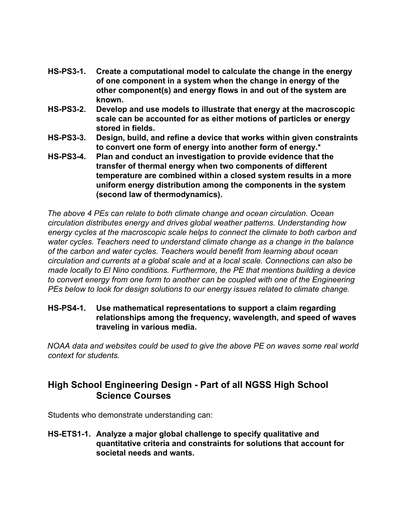- **HS-PS3-1. Create a computational model to calculate the change in the energy of one component in a system when the change in energy of the other component(s) and energy flows in and out of the system are known.**
- **HS-PS3-2. Develop and use models to illustrate that energy at the macroscopic scale can be accounted for as either motions of particles or energy stored in fields.**
- **HS-PS3-3. Design, build, and refine a device that works within given constraints to convert one form of energy into another form of energy.\***
- **HS-PS3-4. Plan and conduct an investigation to provide evidence that the transfer of thermal energy when two components of different temperature are combined within a closed system results in a more uniform energy distribution among the components in the system (second law of thermodynamics).**

*The above 4 PEs can relate to both climate change and ocean circulation. Ocean circulation distributes energy and drives global weather patterns. Understanding how energy cycles at the macroscopic scale helps to connect the climate to both carbon and water cycles. Teachers need to understand climate change as a change in the balance of the carbon and water cycles. Teachers would benefit from learning about ocean circulation and currents at a global scale and at a local scale. Connections can also be made locally to El Nino conditions. Furthermore, the PE that mentions building a device to convert energy from one form to another can be coupled with one of the Engineering PEs below to look for design solutions to our energy issues related to climate change.*

# **HS-PS4-1. Use mathematical representations to support a claim regarding relationships among the frequency, wavelength, and speed of waves traveling in various media.**

*NOAA data and websites could be used to give the above PE on waves some real world context for students.*

# **High School Engineering Design - Part of all NGSS High School Science Courses**

Students who demonstrate understanding can:

**HS-ETS1-1. Analyze a major global challenge to specify qualitative and quantitative criteria and constraints for solutions that account for societal needs and wants.**